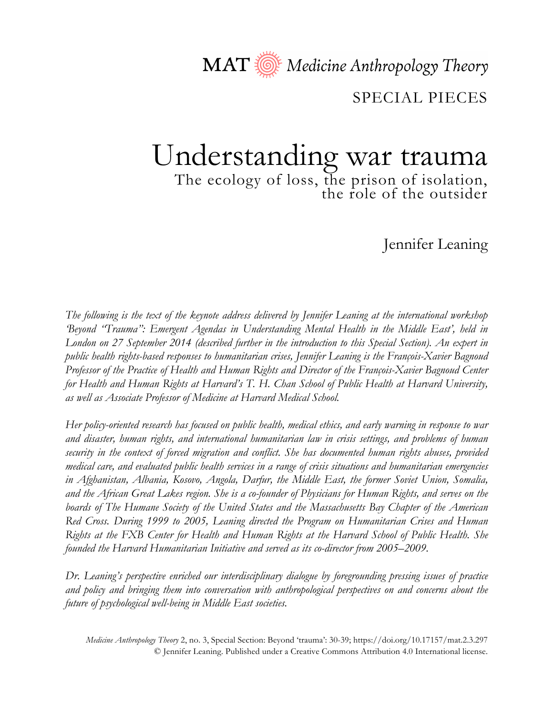MAT  $\circled{A}$  Medicine Anthropology Theory

SPECIAL PIECES

# Understanding war trauma The ecology of loss, the prison of isolation,<br>the role of the outsider

Jennifer Leaning

*The following is the text of the keynote address delivered by Jennifer Leaning at the international workshop 'Beyond "Trauma": Emergent Agendas in Understanding Mental Health in the Middle East', held in London on 27 September 2014 (described further in the introduction to this Special Section). An expert in public health rights-based responses to humanitarian crises, Jennifer Leaning is the François-Xavier Bagnoud Professor of the Practice of Health and Human Rights and Director of the François-Xavier Bagnoud Center for Health and Human Rights at Harvard's T. H. Chan School of Public Health at Harvard University, as well as Associate Professor of Medicine at Harvard Medical School.*

*Her policy-oriented research has focused on public health, medical ethics, and early warning in response to war and disaster, human rights, and international humanitarian law in crisis settings, and problems of human security in the context of forced migration and conflict. She has documented human rights abuses, provided medical care, and evaluated public health services in a range of crisis situations and humanitarian emergencies in Afghanistan, Albania, Kosovo, Angola, Darfur, the Middle East, the former Soviet Union, Somalia, and the African Great Lakes region. She is a co-founder of Physicians for Human Rights, and serves on the boards of The Humane Society of the United States and the Massachusetts Bay Chapter of the American Red Cross. During 1999 to 2005, Leaning directed the Program on Humanitarian Crises and Human Rights at the FXB Center for Health and Human Rights at the Harvard School of Public Health. She founded the Harvard Humanitarian Initiative and served as its co-director from 2005–2009.* 

*Dr. Leaning's perspective enriched our interdisciplinary dialogue by foregrounding pressing issues of practice and policy and bringing them into conversation with anthropological perspectives on and concerns about the future of psychological well-being in Middle East societies.*

*Medicine Anthropology Theory* 2, no. 3, Special Section: Beyond 'trauma': 30-39; https://doi.org/10.17157/mat.2.3.297 © Jennifer Leaning. Published under a Creative Commons Attribution 4.0 International license.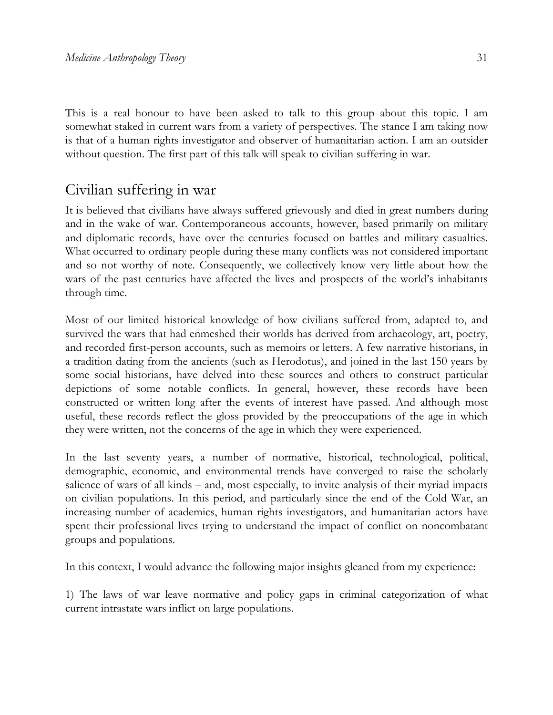This is a real honour to have been asked to talk to this group about this topic. I am somewhat staked in current wars from a variety of perspectives. The stance I am taking now is that of a human rights investigator and observer of humanitarian action. I am an outsider without question. The first part of this talk will speak to civilian suffering in war.

### Civilian suffering in war

It is believed that civilians have always suffered grievously and died in great numbers during and in the wake of war. Contemporaneous accounts, however, based primarily on military and diplomatic records, have over the centuries focused on battles and military casualties. What occurred to ordinary people during these many conflicts was not considered important and so not worthy of note. Consequently, we collectively know very little about how the wars of the past centuries have affected the lives and prospects of the world's inhabitants through time.

Most of our limited historical knowledge of how civilians suffered from, adapted to, and survived the wars that had enmeshed their worlds has derived from archaeology, art, poetry, and recorded first-person accounts, such as memoirs or letters. A few narrative historians, in a tradition dating from the ancients (such as Herodotus), and joined in the last 150 years by some social historians, have delved into these sources and others to construct particular depictions of some notable conflicts. In general, however, these records have been constructed or written long after the events of interest have passed. And although most useful, these records reflect the gloss provided by the preoccupations of the age in which they were written, not the concerns of the age in which they were experienced.

In the last seventy years, a number of normative, historical, technological, political, demographic, economic, and environmental trends have converged to raise the scholarly salience of wars of all kinds – and, most especially, to invite analysis of their myriad impacts on civilian populations. In this period, and particularly since the end of the Cold War, an increasing number of academics, human rights investigators, and humanitarian actors have spent their professional lives trying to understand the impact of conflict on noncombatant groups and populations.

In this context, I would advance the following major insights gleaned from my experience:

1) The laws of war leave normative and policy gaps in criminal categorization of what current intrastate wars inflict on large populations.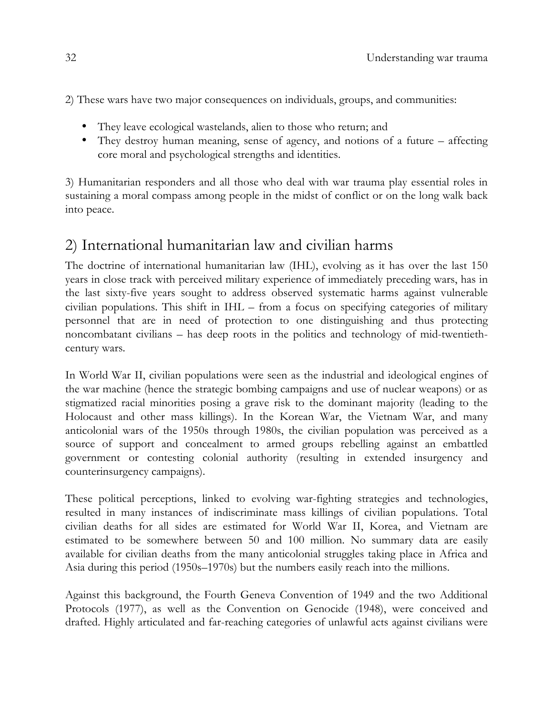2) These wars have two major consequences on individuals, groups, and communities:

- They leave ecological wastelands, alien to those who return; and
- They destroy human meaning, sense of agency, and notions of a future affecting core moral and psychological strengths and identities.

3) Humanitarian responders and all those who deal with war trauma play essential roles in sustaining a moral compass among people in the midst of conflict or on the long walk back into peace.

### 2) International humanitarian law and civilian harms

The doctrine of international humanitarian law (IHL), evolving as it has over the last 150 years in close track with perceived military experience of immediately preceding wars, has in the last sixty-five years sought to address observed systematic harms against vulnerable civilian populations. This shift in IHL – from a focus on specifying categories of military personnel that are in need of protection to one distinguishing and thus protecting noncombatant civilians – has deep roots in the politics and technology of mid-twentiethcentury wars.

In World War II, civilian populations were seen as the industrial and ideological engines of the war machine (hence the strategic bombing campaigns and use of nuclear weapons) or as stigmatized racial minorities posing a grave risk to the dominant majority (leading to the Holocaust and other mass killings). In the Korean War, the Vietnam War, and many anticolonial wars of the 1950s through 1980s, the civilian population was perceived as a source of support and concealment to armed groups rebelling against an embattled government or contesting colonial authority (resulting in extended insurgency and counterinsurgency campaigns).

These political perceptions, linked to evolving war-fighting strategies and technologies, resulted in many instances of indiscriminate mass killings of civilian populations. Total civilian deaths for all sides are estimated for World War II, Korea, and Vietnam are estimated to be somewhere between 50 and 100 million. No summary data are easily available for civilian deaths from the many anticolonial struggles taking place in Africa and Asia during this period (1950s–1970s) but the numbers easily reach into the millions.

Against this background, the Fourth Geneva Convention of 1949 and the two Additional Protocols (1977), as well as the Convention on Genocide (1948), were conceived and drafted. Highly articulated and far-reaching categories of unlawful acts against civilians were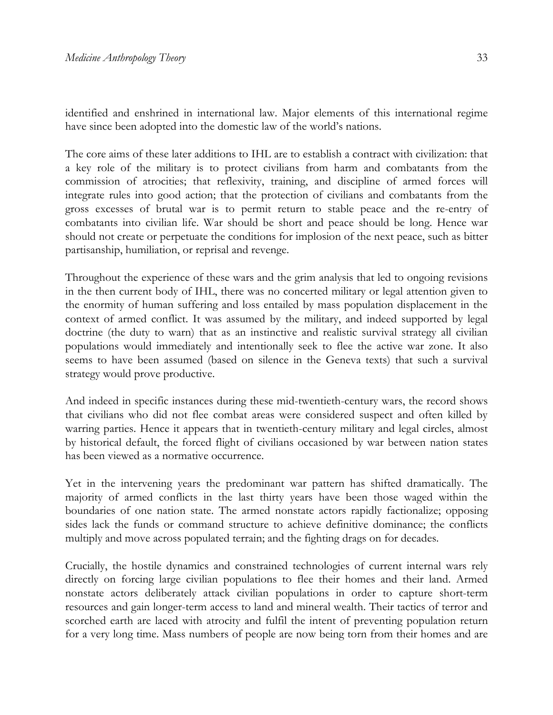identified and enshrined in international law. Major elements of this international regime have since been adopted into the domestic law of the world's nations.

The core aims of these later additions to IHL are to establish a contract with civilization: that a key role of the military is to protect civilians from harm and combatants from the commission of atrocities; that reflexivity, training, and discipline of armed forces will integrate rules into good action; that the protection of civilians and combatants from the gross excesses of brutal war is to permit return to stable peace and the re-entry of combatants into civilian life. War should be short and peace should be long. Hence war should not create or perpetuate the conditions for implosion of the next peace, such as bitter partisanship, humiliation, or reprisal and revenge.

Throughout the experience of these wars and the grim analysis that led to ongoing revisions in the then current body of IHL, there was no concerted military or legal attention given to the enormity of human suffering and loss entailed by mass population displacement in the context of armed conflict. It was assumed by the military, and indeed supported by legal doctrine (the duty to warn) that as an instinctive and realistic survival strategy all civilian populations would immediately and intentionally seek to flee the active war zone. It also seems to have been assumed (based on silence in the Geneva texts) that such a survival strategy would prove productive.

And indeed in specific instances during these mid-twentieth-century wars, the record shows that civilians who did not flee combat areas were considered suspect and often killed by warring parties. Hence it appears that in twentieth-century military and legal circles, almost by historical default, the forced flight of civilians occasioned by war between nation states has been viewed as a normative occurrence.

Yet in the intervening years the predominant war pattern has shifted dramatically. The majority of armed conflicts in the last thirty years have been those waged within the boundaries of one nation state. The armed nonstate actors rapidly factionalize; opposing sides lack the funds or command structure to achieve definitive dominance; the conflicts multiply and move across populated terrain; and the fighting drags on for decades.

Crucially, the hostile dynamics and constrained technologies of current internal wars rely directly on forcing large civilian populations to flee their homes and their land. Armed nonstate actors deliberately attack civilian populations in order to capture short-term resources and gain longer-term access to land and mineral wealth. Their tactics of terror and scorched earth are laced with atrocity and fulfil the intent of preventing population return for a very long time. Mass numbers of people are now being torn from their homes and are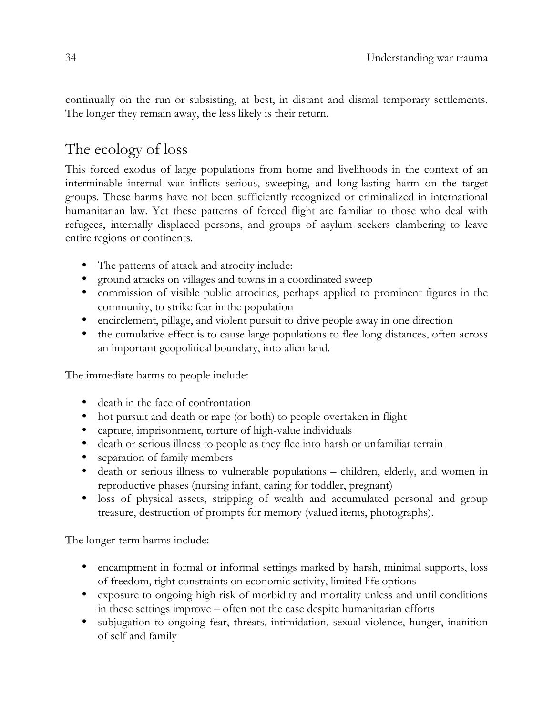continually on the run or subsisting, at best, in distant and dismal temporary settlements. The longer they remain away, the less likely is their return.

## The ecology of loss

This forced exodus of large populations from home and livelihoods in the context of an interminable internal war inflicts serious, sweeping, and long-lasting harm on the target groups. These harms have not been sufficiently recognized or criminalized in international humanitarian law. Yet these patterns of forced flight are familiar to those who deal with refugees, internally displaced persons, and groups of asylum seekers clambering to leave entire regions or continents.

- The patterns of attack and atrocity include:
- ground attacks on villages and towns in a coordinated sweep
- commission of visible public atrocities, perhaps applied to prominent figures in the community, to strike fear in the population
- encirclement, pillage, and violent pursuit to drive people away in one direction
- the cumulative effect is to cause large populations to flee long distances, often across an important geopolitical boundary, into alien land.

The immediate harms to people include:

- death in the face of confrontation
- hot pursuit and death or rape (or both) to people overtaken in flight
- capture, imprisonment, torture of high-value individuals
- death or serious illness to people as they flee into harsh or unfamiliar terrain
- separation of family members
- death or serious illness to vulnerable populations children, elderly, and women in reproductive phases (nursing infant, caring for toddler, pregnant)
- loss of physical assets, stripping of wealth and accumulated personal and group treasure, destruction of prompts for memory (valued items, photographs).

The longer-term harms include:

- encampment in formal or informal settings marked by harsh, minimal supports, loss of freedom, tight constraints on economic activity, limited life options
- exposure to ongoing high risk of morbidity and mortality unless and until conditions in these settings improve – often not the case despite humanitarian efforts
- subjugation to ongoing fear, threats, intimidation, sexual violence, hunger, inanition of self and family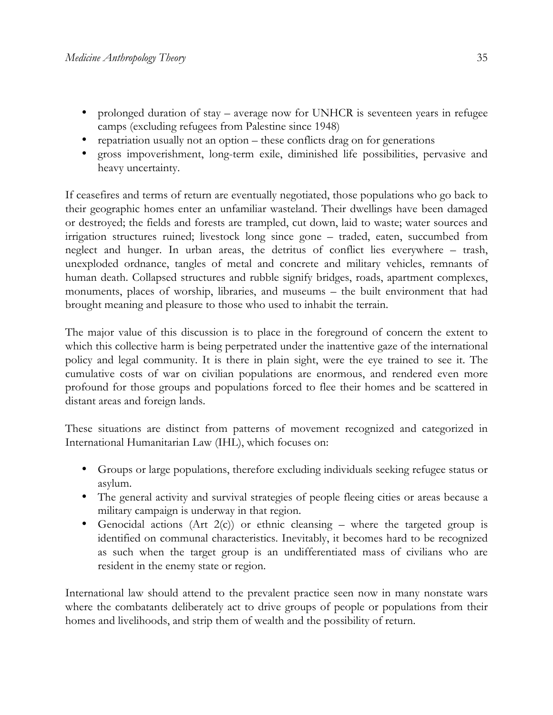- prolonged duration of stay average now for UNHCR is seventeen years in refugee camps (excluding refugees from Palestine since 1948)
- repatriation usually not an option these conflicts drag on for generations
- gross impoverishment, long-term exile, diminished life possibilities, pervasive and heavy uncertainty.

If ceasefires and terms of return are eventually negotiated, those populations who go back to their geographic homes enter an unfamiliar wasteland. Their dwellings have been damaged or destroyed; the fields and forests are trampled, cut down, laid to waste; water sources and irrigation structures ruined; livestock long since gone – traded, eaten, succumbed from neglect and hunger. In urban areas, the detritus of conflict lies everywhere – trash, unexploded ordnance, tangles of metal and concrete and military vehicles, remnants of human death. Collapsed structures and rubble signify bridges, roads, apartment complexes, monuments, places of worship, libraries, and museums – the built environment that had brought meaning and pleasure to those who used to inhabit the terrain.

The major value of this discussion is to place in the foreground of concern the extent to which this collective harm is being perpetrated under the inattentive gaze of the international policy and legal community. It is there in plain sight, were the eye trained to see it. The cumulative costs of war on civilian populations are enormous, and rendered even more profound for those groups and populations forced to flee their homes and be scattered in distant areas and foreign lands.

These situations are distinct from patterns of movement recognized and categorized in International Humanitarian Law (IHL), which focuses on:

- Groups or large populations, therefore excluding individuals seeking refugee status or asylum.
- The general activity and survival strategies of people fleeing cities or areas because a military campaign is underway in that region.
- Genocidal actions (Art  $2(c)$ ) or ethnic cleansing where the targeted group is identified on communal characteristics. Inevitably, it becomes hard to be recognized as such when the target group is an undifferentiated mass of civilians who are resident in the enemy state or region.

International law should attend to the prevalent practice seen now in many nonstate wars where the combatants deliberately act to drive groups of people or populations from their homes and livelihoods, and strip them of wealth and the possibility of return.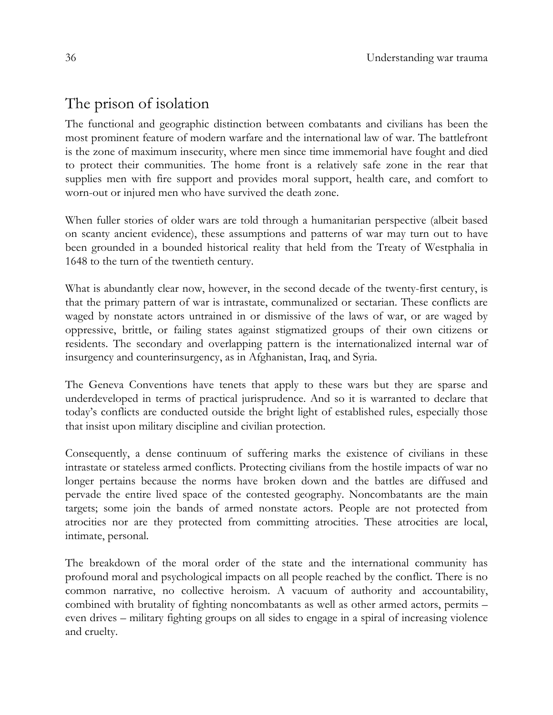# The prison of isolation

The functional and geographic distinction between combatants and civilians has been the most prominent feature of modern warfare and the international law of war. The battlefront is the zone of maximum insecurity, where men since time immemorial have fought and died to protect their communities. The home front is a relatively safe zone in the rear that supplies men with fire support and provides moral support, health care, and comfort to worn-out or injured men who have survived the death zone.

When fuller stories of older wars are told through a humanitarian perspective (albeit based on scanty ancient evidence), these assumptions and patterns of war may turn out to have been grounded in a bounded historical reality that held from the Treaty of Westphalia in 1648 to the turn of the twentieth century.

What is abundantly clear now, however, in the second decade of the twenty-first century, is that the primary pattern of war is intrastate, communalized or sectarian. These conflicts are waged by nonstate actors untrained in or dismissive of the laws of war, or are waged by oppressive, brittle, or failing states against stigmatized groups of their own citizens or residents. The secondary and overlapping pattern is the internationalized internal war of insurgency and counterinsurgency, as in Afghanistan, Iraq, and Syria.

The Geneva Conventions have tenets that apply to these wars but they are sparse and underdeveloped in terms of practical jurisprudence. And so it is warranted to declare that today's conflicts are conducted outside the bright light of established rules, especially those that insist upon military discipline and civilian protection.

Consequently, a dense continuum of suffering marks the existence of civilians in these intrastate or stateless armed conflicts. Protecting civilians from the hostile impacts of war no longer pertains because the norms have broken down and the battles are diffused and pervade the entire lived space of the contested geography. Noncombatants are the main targets; some join the bands of armed nonstate actors. People are not protected from atrocities nor are they protected from committing atrocities. These atrocities are local, intimate, personal.

The breakdown of the moral order of the state and the international community has profound moral and psychological impacts on all people reached by the conflict. There is no common narrative, no collective heroism. A vacuum of authority and accountability, combined with brutality of fighting noncombatants as well as other armed actors, permits – even drives – military fighting groups on all sides to engage in a spiral of increasing violence and cruelty.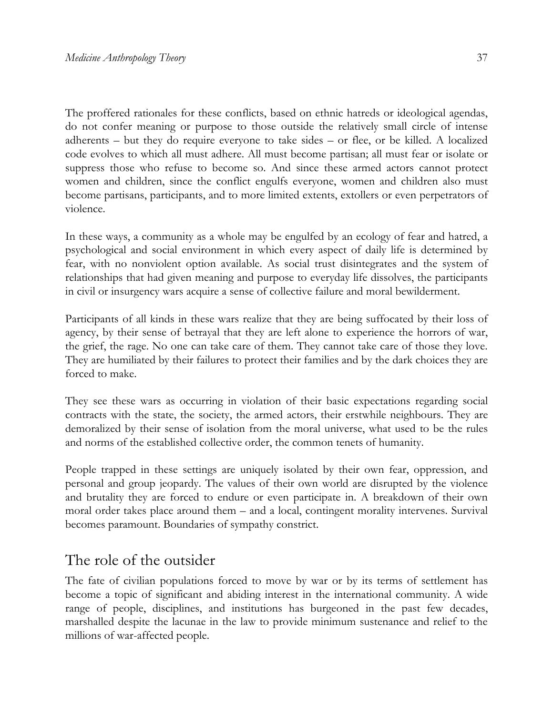The proffered rationales for these conflicts, based on ethnic hatreds or ideological agendas, do not confer meaning or purpose to those outside the relatively small circle of intense adherents – but they do require everyone to take sides – or flee, or be killed. A localized code evolves to which all must adhere. All must become partisan; all must fear or isolate or suppress those who refuse to become so. And since these armed actors cannot protect women and children, since the conflict engulfs everyone, women and children also must become partisans, participants, and to more limited extents, extollers or even perpetrators of violence.

In these ways, a community as a whole may be engulfed by an ecology of fear and hatred, a psychological and social environment in which every aspect of daily life is determined by fear, with no nonviolent option available. As social trust disintegrates and the system of relationships that had given meaning and purpose to everyday life dissolves, the participants in civil or insurgency wars acquire a sense of collective failure and moral bewilderment.

Participants of all kinds in these wars realize that they are being suffocated by their loss of agency, by their sense of betrayal that they are left alone to experience the horrors of war, the grief, the rage. No one can take care of them. They cannot take care of those they love. They are humiliated by their failures to protect their families and by the dark choices they are forced to make.

They see these wars as occurring in violation of their basic expectations regarding social contracts with the state, the society, the armed actors, their erstwhile neighbours. They are demoralized by their sense of isolation from the moral universe, what used to be the rules and norms of the established collective order, the common tenets of humanity.

People trapped in these settings are uniquely isolated by their own fear, oppression, and personal and group jeopardy. The values of their own world are disrupted by the violence and brutality they are forced to endure or even participate in. A breakdown of their own moral order takes place around them – and a local, contingent morality intervenes. Survival becomes paramount. Boundaries of sympathy constrict.

#### The role of the outsider

The fate of civilian populations forced to move by war or by its terms of settlement has become a topic of significant and abiding interest in the international community. A wide range of people, disciplines, and institutions has burgeoned in the past few decades, marshalled despite the lacunae in the law to provide minimum sustenance and relief to the millions of war-affected people.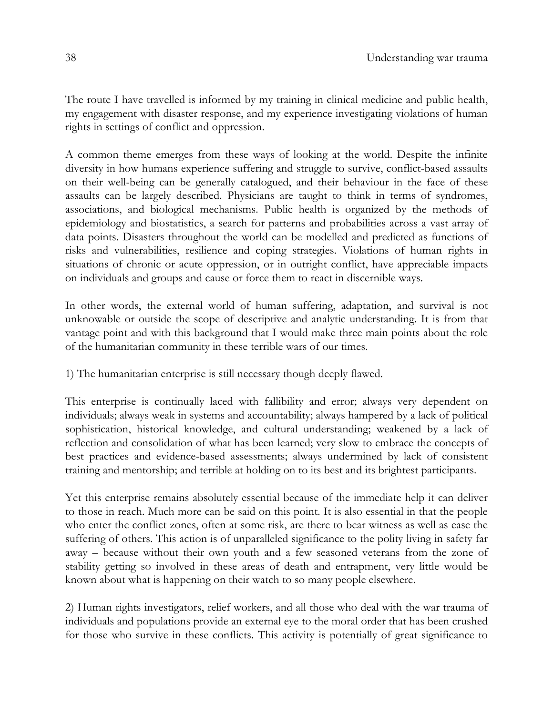The route I have travelled is informed by my training in clinical medicine and public health, my engagement with disaster response, and my experience investigating violations of human rights in settings of conflict and oppression.

A common theme emerges from these ways of looking at the world. Despite the infinite diversity in how humans experience suffering and struggle to survive, conflict-based assaults on their well-being can be generally catalogued, and their behaviour in the face of these assaults can be largely described. Physicians are taught to think in terms of syndromes, associations, and biological mechanisms. Public health is organized by the methods of epidemiology and biostatistics, a search for patterns and probabilities across a vast array of data points. Disasters throughout the world can be modelled and predicted as functions of risks and vulnerabilities, resilience and coping strategies. Violations of human rights in situations of chronic or acute oppression, or in outright conflict, have appreciable impacts on individuals and groups and cause or force them to react in discernible ways.

In other words, the external world of human suffering, adaptation, and survival is not unknowable or outside the scope of descriptive and analytic understanding. It is from that vantage point and with this background that I would make three main points about the role of the humanitarian community in these terrible wars of our times.

1) The humanitarian enterprise is still necessary though deeply flawed.

This enterprise is continually laced with fallibility and error; always very dependent on individuals; always weak in systems and accountability; always hampered by a lack of political sophistication, historical knowledge, and cultural understanding; weakened by a lack of reflection and consolidation of what has been learned; very slow to embrace the concepts of best practices and evidence-based assessments; always undermined by lack of consistent training and mentorship; and terrible at holding on to its best and its brightest participants.

Yet this enterprise remains absolutely essential because of the immediate help it can deliver to those in reach. Much more can be said on this point. It is also essential in that the people who enter the conflict zones, often at some risk, are there to bear witness as well as ease the suffering of others. This action is of unparalleled significance to the polity living in safety far away – because without their own youth and a few seasoned veterans from the zone of stability getting so involved in these areas of death and entrapment, very little would be known about what is happening on their watch to so many people elsewhere.

2) Human rights investigators, relief workers, and all those who deal with the war trauma of individuals and populations provide an external eye to the moral order that has been crushed for those who survive in these conflicts. This activity is potentially of great significance to